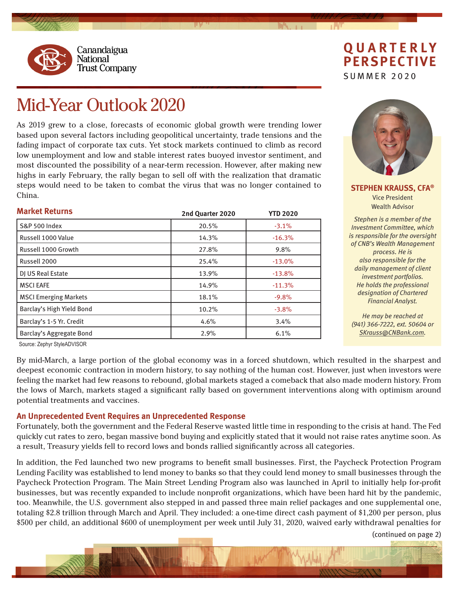

## **QUARTERLY PERSPECTIVE**

SUMMER 2020

## Mid-Year Outlook 2020

As 2019 grew to a close, forecasts of economic global growth were trending lower based upon several factors including geopolitical uncertainty, trade tensions and the fading impact of corporate tax cuts. Yet stock markets continued to climb as record low unemployment and low and stable interest rates buoyed investor sentiment, and most discounted the possibility of a near-term recession. However, after making new highs in early February, the rally began to sell off with the realization that dramatic steps would need to be taken to combat the virus that was no longer contained to China.

| <b>Market Returns</b>        | 2nd Quarter 2020 | <b>YTD 2020</b> |
|------------------------------|------------------|-----------------|
| <b>S&amp;P 500 Index</b>     | 20.5%            | $-3.1%$         |
| Russell 1000 Value           | 14.3%            | $-16.3%$        |
| Russell 1000 Growth          | 27.8%            | 9.8%            |
| Russell 2000                 | 25.4%            | $-13.0%$        |
| DJ US Real Estate            | 13.9%            | $-13.8%$        |
| <b>MSCI EAFE</b>             | 14.9%            | $-11.3%$        |
| <b>MSCI Emerging Markets</b> | 18.1%            | $-9.8%$         |
| Barclay's High Yield Bond    | 10.2%            | $-3.8%$         |
| Barclay's 1-5 Yr. Credit     | 4.6%             | 3.4%            |
| Barclay's Aggregate Bond     | 2.9%             | 6.1%            |



**STEPHEN KRAUSS, CFA®** Vice President Wealth Advisor

*Stephen is a member of the Investment Committee, which is responsible for the oversight of CNB's Wealth Management process. He is also responsible for the daily management of client investment portfolios. He holds the professional designation of Chartered Financial Analyst.*

*He may be reached at (941) 366-7222, ext. 50604 or SKrauss@CNBank.com.*

Source: Zephyr StyleADVISOR

By mid-March, a large portion of the global economy was in a forced shutdown, which resulted in the sharpest and deepest economic contraction in modern history, to say nothing of the human cost. However, just when investors were feeling the market had few reasons to rebound, global markets staged a comeback that also made modern history. From the lows of March, markets staged a significant rally based on government interventions along with optimism around potential treatments and vaccines.

## **An Unprecedented Event Requires an Unprecedented Response**

Fortunately, both the government and the Federal Reserve wasted little time in responding to the crisis at hand. The Fed quickly cut rates to zero, began massive bond buying and explicitly stated that it would not raise rates anytime soon. As a result, Treasury yields fell to record lows and bonds rallied significantly across all categories.

In addition, the Fed launched two new programs to benefit small businesses. First, the Paycheck Protection Program Lending Facility was established to lend money to banks so that they could lend money to small businesses through the Paycheck Protection Program. The Main Street Lending Program also was launched in April to initially help for-profit businesses, but was recently expanded to include nonprofit organizations, which have been hard hit by the pandemic, too. Meanwhile, the U.S. government also stepped in and passed three main relief packages and one supplemental one, totaling \$2.8 trillion through March and April. They included: a one-time direct cash payment of \$1,200 per person, plus \$500 per child, an additional \$600 of unemployment per week until July 31, 2020, waived early withdrawal penalties for